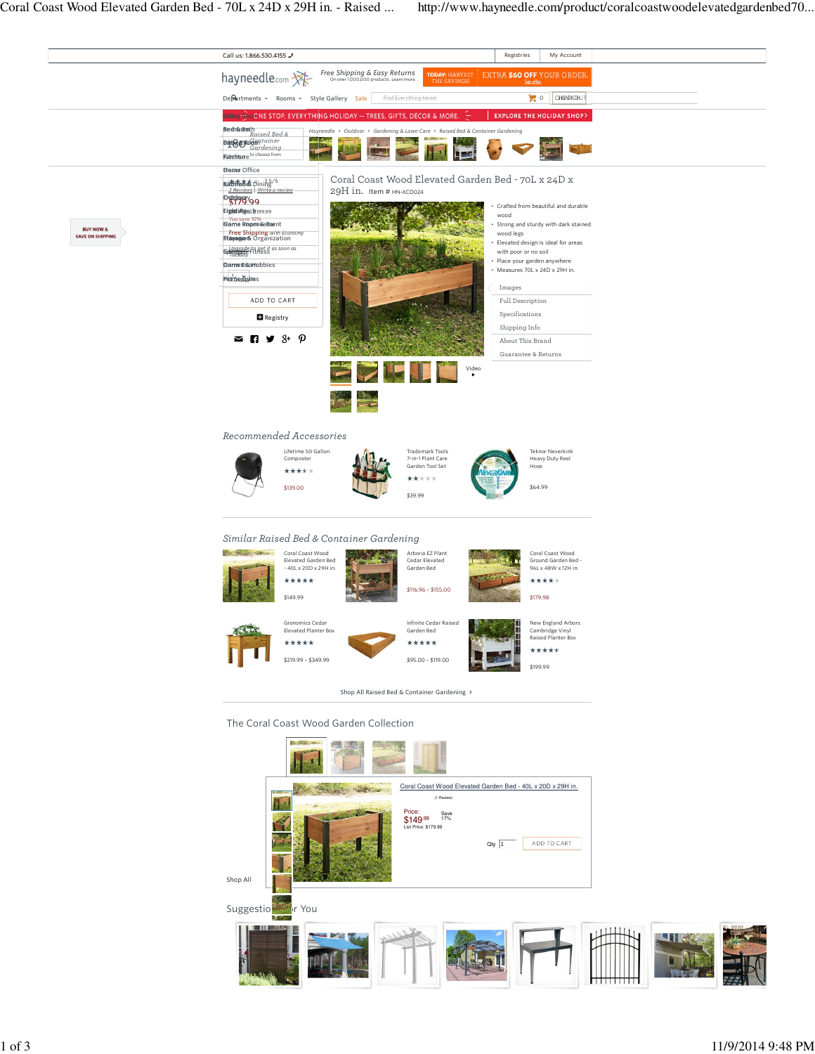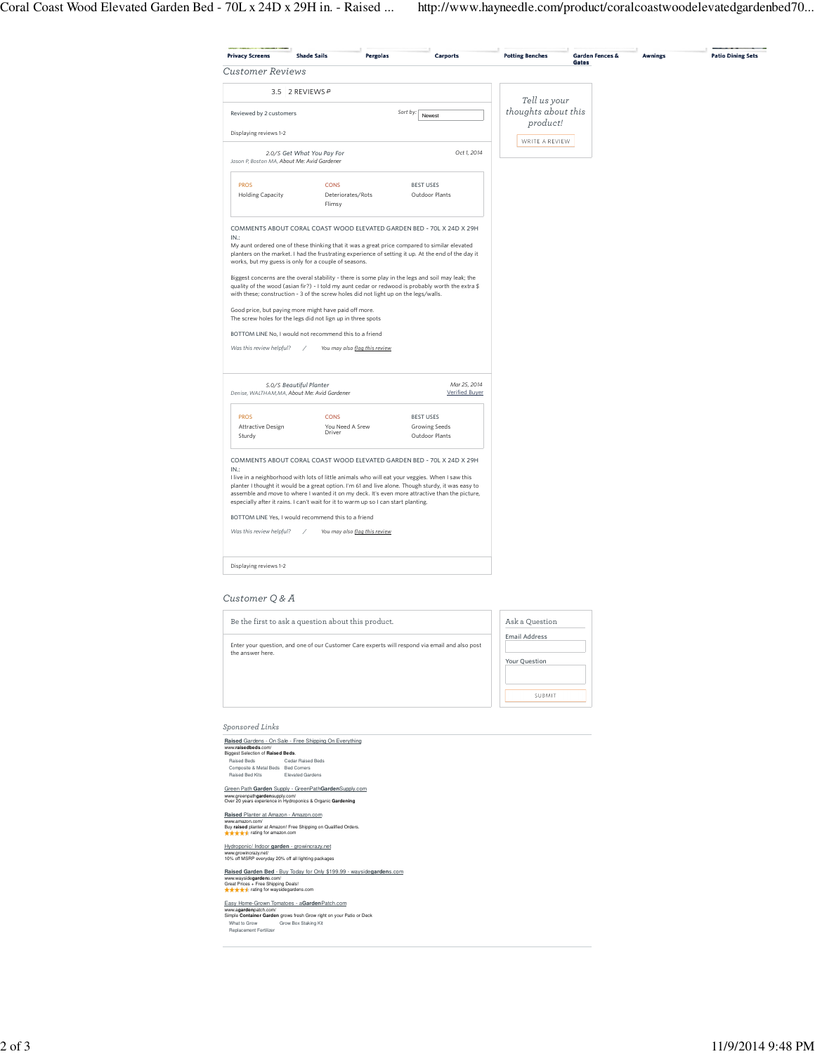|                                             |                                                                                     |                               |                                                                                                                                                                                                                                                                                                         | <b>Potting Benches</b> | <b>Garden Fences &amp;</b><br>Gates | <b>Awnings</b> | <b>Patio Dining Sets</b> |
|---------------------------------------------|-------------------------------------------------------------------------------------|-------------------------------|---------------------------------------------------------------------------------------------------------------------------------------------------------------------------------------------------------------------------------------------------------------------------------------------------------|------------------------|-------------------------------------|----------------|--------------------------|
| <b>Customer Reviews</b>                     |                                                                                     |                               |                                                                                                                                                                                                                                                                                                         |                        |                                     |                |                          |
|                                             | 3.5 2 REVIEWS &                                                                     |                               |                                                                                                                                                                                                                                                                                                         | Tell us your           |                                     |                |                          |
| Reviewed by 2 customers                     |                                                                                     |                               | Sort by:<br>Newest                                                                                                                                                                                                                                                                                      | thoughts about this    |                                     |                |                          |
| Displaying reviews 1-2                      |                                                                                     |                               |                                                                                                                                                                                                                                                                                                         | product!               |                                     |                |                          |
| Jason P, Boston MA, About Me: Avid Gardener | 2.0/5 Get What You Pay For                                                          |                               | Oct 1, 2014                                                                                                                                                                                                                                                                                             | WRITE A REVIEW         |                                     |                |                          |
| <b>PROS</b>                                 | <b>CONS</b>                                                                         |                               | <b>BEST USES</b>                                                                                                                                                                                                                                                                                        |                        |                                     |                |                          |
| <b>Holding Capacity</b>                     | Deteriorates/Rots<br>Flimsy                                                         |                               | Outdoor Plants                                                                                                                                                                                                                                                                                          |                        |                                     |                |                          |
| IN:                                         |                                                                                     |                               | COMMENTS ABOUT CORAL COAST WOOD ELEVATED GARDEN BED - 70L X 24D X 29H                                                                                                                                                                                                                                   |                        |                                     |                |                          |
|                                             | works, but my guess is only for a couple of seasons.                                |                               | My aunt ordered one of these thinking that it was a great price compared to similar elevated<br>planters on the market. I had the frustrating experience of setting it up. At the end of the day it                                                                                                     |                        |                                     |                |                          |
|                                             | with these; construction - 3 of the screw holes did not light up on the legs/walls. |                               | Biggest concerns are the overal stability - there is some play in the legs and soil may leak; the<br>quality of the wood (asian fir?) - I told my aunt cedar or redwood is probably worth the extra \$                                                                                                  |                        |                                     |                |                          |
|                                             | Good price, but paying more might have paid off more.                               |                               |                                                                                                                                                                                                                                                                                                         |                        |                                     |                |                          |
|                                             |                                                                                     |                               |                                                                                                                                                                                                                                                                                                         |                        |                                     |                |                          |
|                                             | The screw holes for the legs did not lign up in three spots                         |                               |                                                                                                                                                                                                                                                                                                         |                        |                                     |                |                          |
|                                             | BOTTOM LINE No, I would not recommend this to a friend                              |                               |                                                                                                                                                                                                                                                                                                         |                        |                                     |                |                          |
| Was this review helpful?                    |                                                                                     | You may also flag this review |                                                                                                                                                                                                                                                                                                         |                        |                                     |                |                          |
|                                             | 5.0/5 Beautiful Planter                                                             |                               | Mar 25, 2014                                                                                                                                                                                                                                                                                            |                        |                                     |                |                          |
|                                             | Denise, WALTHAM,MA, About Me: Avid Gardener                                         |                               | Verified Buyer                                                                                                                                                                                                                                                                                          |                        |                                     |                |                          |
| <b>PROS</b>                                 | <b>CONS</b>                                                                         |                               | <b>BEST USES</b>                                                                                                                                                                                                                                                                                        |                        |                                     |                |                          |
| Attractive Design<br>Sturdy                 | You Need A Srew<br>Driver                                                           |                               | Growing Seeds<br>Outdoor Plants                                                                                                                                                                                                                                                                         |                        |                                     |                |                          |
|                                             |                                                                                     |                               | COMMENTS ABOUT CORAL COAST WOOD ELEVATED GARDEN BED - 70L X 24D X 29H                                                                                                                                                                                                                                   |                        |                                     |                |                          |
| IN:                                         |                                                                                     |                               | I live in a neighborhood with lots of little animals who will eat your veggies. When I saw this<br>planter I thought it would be a great option. I'm 61 and live alone. Though sturdy, it was easy to<br>assemble and move to where I wanted it on my deck. It's even more attractive than the picture, |                        |                                     |                |                          |
|                                             | especially after it rains. I can't wait for it to warm up so I can start planting.  |                               |                                                                                                                                                                                                                                                                                                         |                        |                                     |                |                          |
| Was this review helpful?                    | BOTTOM LINE Yes, I would recommend this to a friend                                 | You may also flag this review |                                                                                                                                                                                                                                                                                                         |                        |                                     |                |                          |
| Displaying reviews 1-2                      |                                                                                     |                               |                                                                                                                                                                                                                                                                                                         |                        |                                     |                |                          |

## Customer Q & A



## Sponsored Links

**Raised** Gardens - On Sale - Free Shipping On Everything<br>www.raisedbeds.com/<br>Biggest Selection of **Raised Beds**.<br>Raised Beds<br>Composite & Metal Beds Bed Komers<br>Raised Bed Kits<br>Raised Bed Kits **Elevated Gardens** Cedar Raised Beds Bed Corners Elevated Gardens Green Path **Garden** Supply - GreenPath**Garden**Supply.com www.greenpath**garden**supply.com/ Over 20 years experience in Hydroponics & Organic **Gardening Raised** Planter at Amazon - Amazon.com www.amazon.com/<br>Buy **raised** planter at Amazon! Free Shipping on Qualified Orders.<br>★★★★★ rating for amazon.com Hydroponic/ Indoor **garden** - growincrazy.net www.growincrazy.net/ 10% off MSRP everyday 20% off all lighting packages **Raised Garden Bed** - Buy Today for Only \$199.99 - wayside**garden**s.com<br>www.waysid**egarden**s.com/<br>Great Prices + Free Shipping Deals!<br>★★★★★ rating for waysidegardens.com

Easy Horne-Gr<u>own Tomatoes - a**Garden**Patch.com</u><br>www.**agarden**patch.com/<br>Simpl**e Container Garden** grows fresh Grow right on your Patio or Deck<br>What to Grow Box Staking Kit<br>Replacement Fertilizer